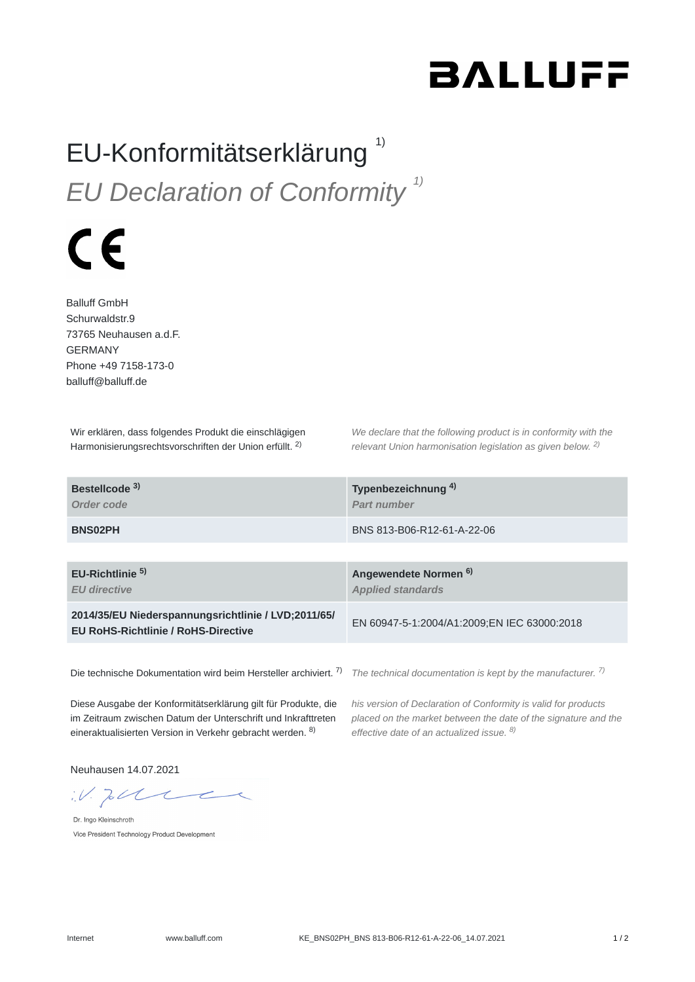## **BALLUFF**

## EU-Konformitätserklärung<sup>1)</sup> *EU Declaration of Conformity 1)*

## $\epsilon$

Balluff GmbH Schurwaldstr.9 73765 Neuhausen a.d.F. GERMANY Phone +49 7158-173-0 balluff@balluff.de

Wir erklären, dass folgendes Produkt die einschlägigen Harmonisierungsrechtsvorschriften der Union erfüllt. <sup>2)</sup>

*We declare that the following product is in conformity with the relevant Union harmonisation legislation as given below.* 2) *2)*

| Bestellcode <sup>3)</sup>                                                                         | Typenbezeichnung <sup>4)</sup>              |
|---------------------------------------------------------------------------------------------------|---------------------------------------------|
| Order code                                                                                        | Part number                                 |
| <b>BNS02PH</b>                                                                                    | BNS 813-B06-R12-61-A-22-06                  |
| EU-Richtlinie <sup>5)</sup>                                                                       | Angewendete Normen <sup>6)</sup>            |
| <b>EU</b> directive                                                                               | <b>Applied standards</b>                    |
| 2014/35/EU Niederspannungsrichtlinie / LVD;2011/65/<br><b>EU RoHS-Richtlinie / RoHS-Directive</b> | EN 60947-5-1:2004/A1:2009;EN IEC 63000:2018 |

Die technische Dokumentation wird beim Hersteller archiviert. <sup>7)</sup> The technical documentation is kept by the manufacturer. <sup>7)</sup>

Diese Ausgabe der Konformitätserklärung gilt für Produkte, die im Zeitraum zwischen Datum der Unterschrift und Inkrafttreten eineraktualisierten Version in Verkehr gebracht werden. <sup>8)</sup>

*his version of Declaration of Conformity is valid for products placed on the market between the date of the signature and the effective date of an actualized issue. 8)*

Neuhausen 14.07.2021

 $W.$  To the

Dr. Ingo Kleinschroth Vice President Technology Product Development

Internet www.balluff.com KE\_BNS02PH\_BNS 813-B06-R12-61-A-22-06\_14.07.2021 1 / 2